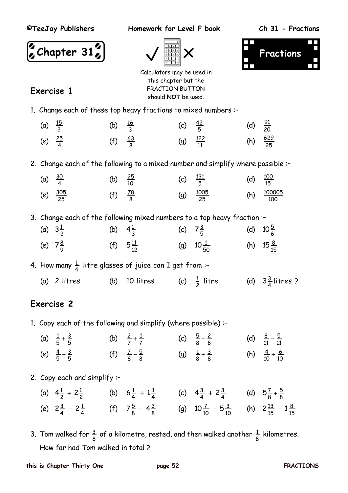**Exercise 1**

**©TeeJay Publishers Homework for Level F book Ch 31 - Fractions**







Calculators may be used in this chapter but the FRACTION BUTTON should **NOT** be used.

1. Change each of these top heavy fractions to mixed numbers :–

| (a) $\frac{15}{2}$ | (b) $\frac{16}{3}$ | (c) $\frac{42}{5}$ |                      | (d) $\frac{91}{20}$  |  |
|--------------------|--------------------|--------------------|----------------------|----------------------|--|
| (e) $\frac{25}{4}$ | (f) $\frac{63}{8}$ |                    | (g) $\frac{122}{11}$ | (h) $\frac{629}{25}$ |  |

2. Change each of the following to a mixed number and simplify where possible :–

| (a) $\frac{30}{4}$ |                      | (b) $\frac{25}{10}$ | (c) $\frac{131}{5}$ |                       | (d) $\frac{100}{15}$ |                          |
|--------------------|----------------------|---------------------|---------------------|-----------------------|----------------------|--------------------------|
|                    | (e) $\frac{305}{25}$ | (f) $\frac{78}{8}$  |                     | (g) $\frac{1005}{25}$ |                      | (h) $\frac{100005}{100}$ |

3. Change each of the following mixed numbers to a top heavy fraction :–

| (a) $3\frac{1}{2}$ |                    | (b) $4\frac{1}{3}$ |                      | (c) $7\frac{3}{5}$ |                      | (d) $10\frac{5}{6}$  |
|--------------------|--------------------|--------------------|----------------------|--------------------|----------------------|----------------------|
|                    | (e) $7\frac{8}{9}$ |                    | (f) $5\frac{11}{12}$ |                    | (g) $10\frac{1}{50}$ | (h) $15\frac{8}{15}$ |

4. How many  $\frac{1}{4}$  litre glasses of juice can I get from :-

(a)  $2$  litres (b)  $10$  litres  $\frac{1}{2}$  litre (d)  $3\frac{3}{4}$  litres ?

### **Exercise 2**

- 1. Copy each of the following and simplify (where possible) :–
	- (a)  $\frac{1}{5} + \frac{3}{5}$  (b)  $\frac{2}{7} + \frac{1}{7}$  (c)  $\frac{5}{8} \frac{2}{8}$  (d)  $\frac{8}{11} \frac{5}{11}$ (e)  $\frac{4}{5} - \frac{3}{5}$  (f)  $\frac{7}{8} - \frac{5}{8}$  (g)  $\frac{1}{8} + \frac{3}{8}$  (h)  $\frac{4}{10} + \frac{6}{10}$
- 2. Copy each and simplify :–

| (a) $4\frac{1}{2} + 2\frac{1}{2}$                                                                                                             | (b) $6\frac{1}{4} + 1\frac{1}{4}$ (c) $4\frac{3}{4} + 2\frac{3}{4}$ (d) $5\frac{7}{8} + \frac{5}{8}$ |  |  |
|-----------------------------------------------------------------------------------------------------------------------------------------------|------------------------------------------------------------------------------------------------------|--|--|
| (e) $2\frac{3}{4} - 2\frac{1}{4}$ (f) $7\frac{5}{8} - 4\frac{3}{8}$ (g) $10\frac{7}{10} - 5\frac{3}{10}$ (h) $2\frac{13}{15} - 1\frac{8}{15}$ |                                                                                                      |  |  |

3. Tom walked for  $\frac{3}{8}$  of a kilometre, rested, and then walked another  $\frac{1}{8}$  kilometres. How far had Tom walked in total ?

#### **this is Chapter Thirty One page 52 FRACTIONS**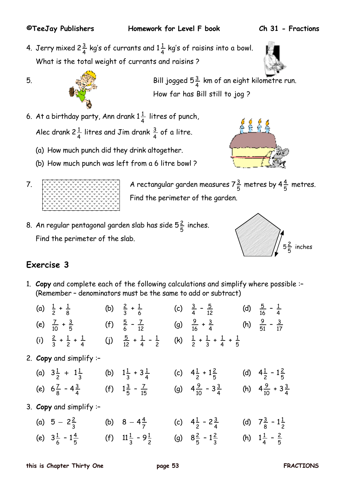4. Jerry mixed 2 $\frac{3}{4}$  kg's of currants and 1 $\frac{1}{4}$  kg's of raisins into a bowl. What is the total weight of currants and raisins ?



5.  $\frac{1}{4}$   $\frac{1}{4}$  Bill jogged 5 $\frac{3}{4}$  km of an eight kilometre run. How far has Bill still to jog ?

6. At a birthday party, Ann drank  $1\frac{1}{4}$  litres of punch, Alec drank 2 $\frac{1}{4}$  litres and Jim drank  $\frac{3}{4}$  of a litre.

- (a) How much punch did they drink altogether.
- (b) How much punch was left from a 6 litre bowl ?
- 

7.  $\left[\frac{1}{2}, \frac{1}{2}, \frac{1}{2}, \frac{1}{2}, \frac{1}{2}, \frac{1}{2}, \frac{1}{2}, \frac{1}{2}, \frac{1}{2}, \frac{1}{2}, \frac{1}{2}\right]$  A rectangular garden measures 7 $\frac{3}{5}$  metres by 4 $\frac{4}{5}$  metres. Find the perimeter of the garden.

8. An regular pentagonal garden slab has side  $5\frac{2}{5}$  inches. Find the perimeter of the slab.



# **Exercise 3**

1. **Copy** and complete each of the following calculations and simplify where possible :– (Remember – denominators must be the same to add or subtract)

|  | (a) $\frac{1}{2} + \frac{1}{8}$                                      | (b) $\frac{2}{3} + \frac{1}{6}$                | (c) $\frac{3}{4} - \frac{5}{12}$                            | (d) $\frac{5}{16} - \frac{1}{4}$   |
|--|----------------------------------------------------------------------|------------------------------------------------|-------------------------------------------------------------|------------------------------------|
|  | (e) $\frac{7}{10} + \frac{3}{5}$ (f) $\frac{5}{6} - \frac{7}{12}$    |                                                | (g) $\frac{9}{16} + \frac{3}{4}$                            | (h) $\frac{9}{51} - \frac{3}{17}$  |
|  | (i) $\frac{2}{3} + \frac{1}{2} + \frac{1}{4}$                        | (j) $\frac{5}{12} + \frac{1}{4} - \frac{1}{2}$ | (k) $\frac{1}{2} + \frac{1}{3} + \frac{1}{4} + \frac{1}{5}$ |                                    |
|  | 2. Copy and simplify :-                                              |                                                |                                                             |                                    |
|  | (a) $3\frac{1}{2}$ + $1\frac{1}{3}$                                  | (b) $1\frac{1}{3} + 3\frac{1}{4}$              | (c) $4\frac{1}{2} + 1\frac{2}{5}$                           | (d) $4\frac{1}{2} - 1\frac{2}{5}$  |
|  | (e) $6\frac{7}{8} - 4\frac{3}{4}$ (f) $1\frac{3}{5} - \frac{7}{15}$  |                                                | (g) $4\frac{9}{10} - 3\frac{3}{4}$                          | (h) $4\frac{9}{10} + 3\frac{3}{4}$ |
|  | 3. Copy and simplify :-                                              |                                                |                                                             |                                    |
|  | (a) $5 - 2\frac{2}{3}$                                               | (b) $8-4\frac{4}{7}$                           | (c) $4\frac{1}{2} - 2\frac{3}{4}$                           | (d) $7\frac{3}{8} - 1\frac{1}{2}$  |
|  | (e) $3\frac{1}{6} - 1\frac{4}{5}$ (f) $11\frac{1}{3} - 9\frac{1}{2}$ |                                                | (g) $8\frac{2}{5} - 1\frac{2}{3}$                           | (h) $1\frac{1}{4} - \frac{2}{5}$   |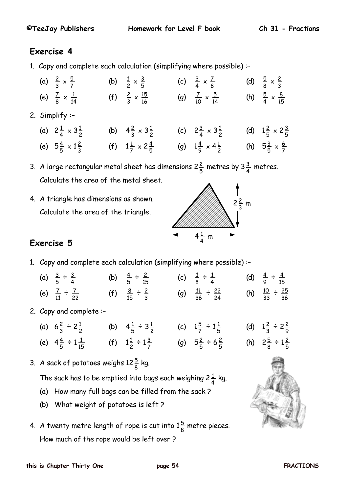### **Exercise 4**

1. Copy and complete each calculation (simplifying where possible) :–

| (a) $\frac{2}{3} \times \frac{5}{7}$  | (b) $\frac{1}{2} \times \frac{3}{5}$   | (c) $\frac{3}{4} \times \frac{7}{8}$   | (d) $\frac{5}{8} \times \frac{2}{3}$  |
|---------------------------------------|----------------------------------------|----------------------------------------|---------------------------------------|
| (e) $\frac{7}{8} \times \frac{1}{14}$ | (f) $\frac{2}{3} \times \frac{15}{16}$ | (g) $\frac{7}{10} \times \frac{5}{14}$ | (h) $\frac{5}{4} \times \frac{8}{15}$ |

2. Simplify :–

| (a) $2\frac{1}{4} \times 3\frac{1}{2}$ | (b) $4\frac{2}{3} \times 3\frac{1}{2}$ | (c) $2\frac{3}{4} \times 3\frac{1}{2}$ | (d) $1\frac{2}{5} \times 2\frac{3}{5}$ |
|----------------------------------------|----------------------------------------|----------------------------------------|----------------------------------------|
| (e) $5\frac{4}{5} \times 1\frac{2}{3}$ | (f) $1\frac{1}{7} \times 2\frac{4}{5}$ | (g) $1\frac{4}{9} \times 4\frac{1}{2}$ | (h) $5\frac{3}{5} \times \frac{6}{7}$  |

3. A large rectangular metal sheet has dimensions 2 $\frac{2}{5}$  metres by 3 $\frac{3}{4}$  metres. Calculate the area of the metal sheet.

4. A triangle has dimensions as shown. Calculate the area of the triangle.



## **Exercise 5**

1. Copy and complete each calculation (simplifying where possible) :–

| (a) $\frac{3}{5} \div \frac{3}{4}$   | (b) $\frac{4}{5} \div \frac{2}{15}$ | (c) $\frac{1}{8} \div \frac{1}{4}$     | (d) $\frac{4}{9} \div \frac{4}{15}$    |
|--------------------------------------|-------------------------------------|----------------------------------------|----------------------------------------|
| (e) $\frac{7}{11} \div \frac{7}{22}$ | (f) $\frac{8}{15} \div \frac{2}{3}$ | (g) $\frac{11}{36} \div \frac{22}{24}$ | (h) $\frac{10}{33} \div \frac{25}{36}$ |

- 2. Copy and complete :–
	- (a)  $6\frac{2}{3} \div 2\frac{1}{2}$  (b)  $4\frac{1}{5} \div 3\frac{1}{2}$  (c)  $1\frac{5}{7} \div 1\frac{1}{5}$  (d)  $1\frac{2}{3} \div 2\frac{2}{9}$ (e)  $4\frac{4}{5} \div 1\frac{1}{15}$  (f)  $1\frac{1}{2} \div 1\frac{3}{7}$  (g)  $5\frac{2}{5} \div 6\frac{2}{5}$  (h)  $2\frac{5}{8} \div 1\frac{2}{5}$
- 3. A sack of potatoes weighs 12 $\frac{5}{8}$  kg.

The sack has to be emptied into bags each weighing 2 $\frac{1}{4}$  kg.

- (a) How many full bags can be filled from the sack ?
- (b) What weight of potatoes is left ?
- 4. A twenty metre length of rope is cut into  $1\frac{5}{8}$  metre pieces. How much of the rope would be left over ?